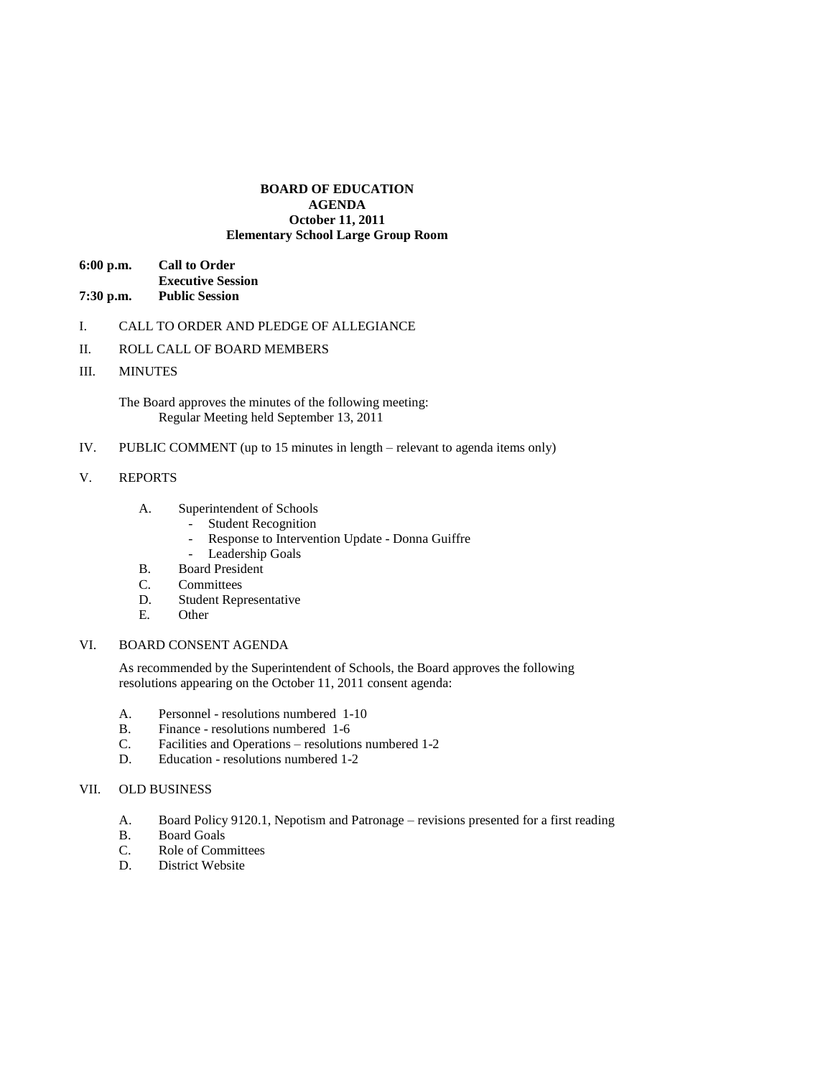## **BOARD OF EDUCATION AGENDA October 11, 2011 Elementary School Large Group Room**

| $6:00$ p.m. | <b>Call to Order</b>     |
|-------------|--------------------------|
|             | <b>Executive Session</b> |
| $7:30$ p.m. | <b>Public Session</b>    |

- I. CALL TO ORDER AND PLEDGE OF ALLEGIANCE
- II. ROLL CALL OF BOARD MEMBERS
- III. MINUTES

The Board approves the minutes of the following meeting: Regular Meeting held September 13, 2011

IV. PUBLIC COMMENT (up to 15 minutes in length – relevant to agenda items only)

### V. REPORTS

- A. Superintendent of Schools
	- Student Recognition
	- Response to Intervention Update Donna Guiffre
	- Leadership Goals
- B. Board President
- C. Committees
- D. Student Representative
- E. Other

# VI. BOARD CONSENT AGENDA

As recommended by the Superintendent of Schools, the Board approves the following resolutions appearing on the October 11, 2011 consent agenda:

- A. Personnel resolutions numbered 1-10
- B. Finance resolutions numbered 1-6
- C. Facilities and Operations resolutions numbered 1-2
- D. Education resolutions numbered 1-2

# VII. OLD BUSINESS

- A. Board Policy 9120.1, Nepotism and Patronage revisions presented for a first reading
- B. Board Goals
- C. Role of Committees
- D. District Website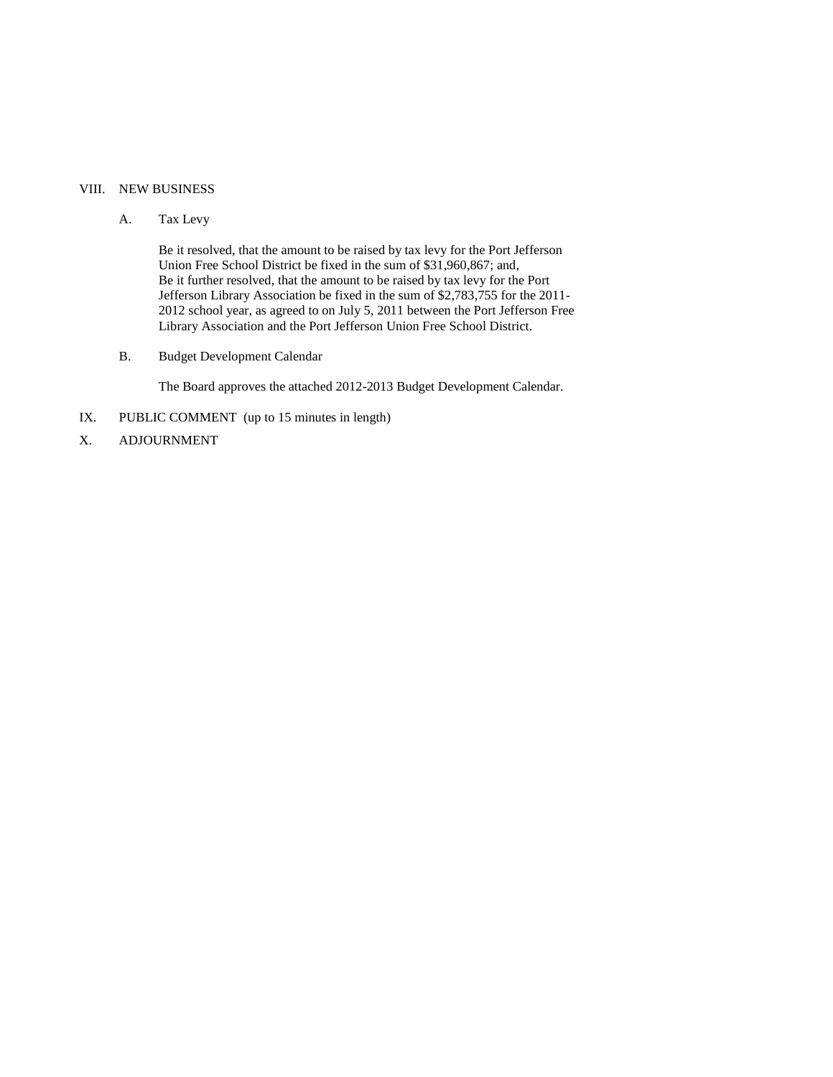# VIII. NEW BUSINESS

## A. Tax Levy

Be it resolved, that the amount to be raised by tax levy for the Port Jefferson Union Free School District be fixed in the sum of \$31,960,867; and, Be it further resolved, that the amount to be raised by tax levy for the Port Jefferson Library Association be fixed in the sum of \$2,783,755 for the 2011- 2012 school year, as agreed to on July 5, 2011 between the Port Jefferson Free Library Association and the Port Jefferson Union Free School District.

B. Budget Development Calendar

The Board approves the attached 2012-2013 Budget Development Calendar.

- IX. PUBLIC COMMENT (up to 15 minutes in length)
- X. ADJOURNMENT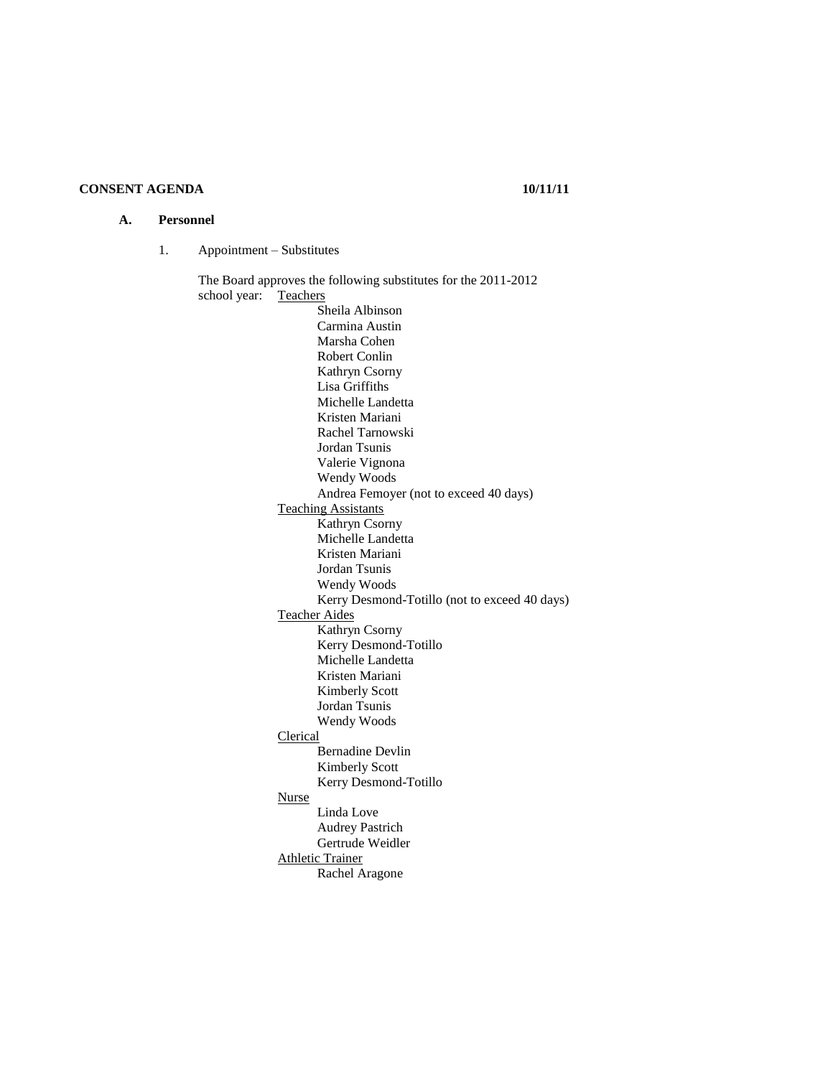# **CONSENT AGENDA 10/11/11**

#### **A. Personnel**

1. Appointment – Substitutes

The Board approves the following substitutes for the 2011-2012 school year: Teachers Sheila Albinson Carmina Austin Marsha Cohen Robert Conlin Kathryn Csorny Lisa Griffiths Michelle Landetta Kristen Mariani Rachel Tarnowski Jordan Tsunis Valerie Vignona Wendy Woods Andrea Femoyer (not to exceed 40 days) Teaching Assistants Kathryn Csorny Michelle Landetta Kristen Mariani Jordan Tsunis Wendy Woods Kerry Desmond-Totillo (not to exceed 40 days) Teacher Aides Kathryn Csorny Kerry Desmond-Totillo Michelle Landetta Kristen Mariani Kimberly Scott Jordan Tsunis Wendy Woods Clerical Bernadine Devlin Kimberly Scott Kerry Desmond-Totillo Nurse Linda Love Audrey Pastrich Gertrude Weidler Athletic Trainer Rachel Aragone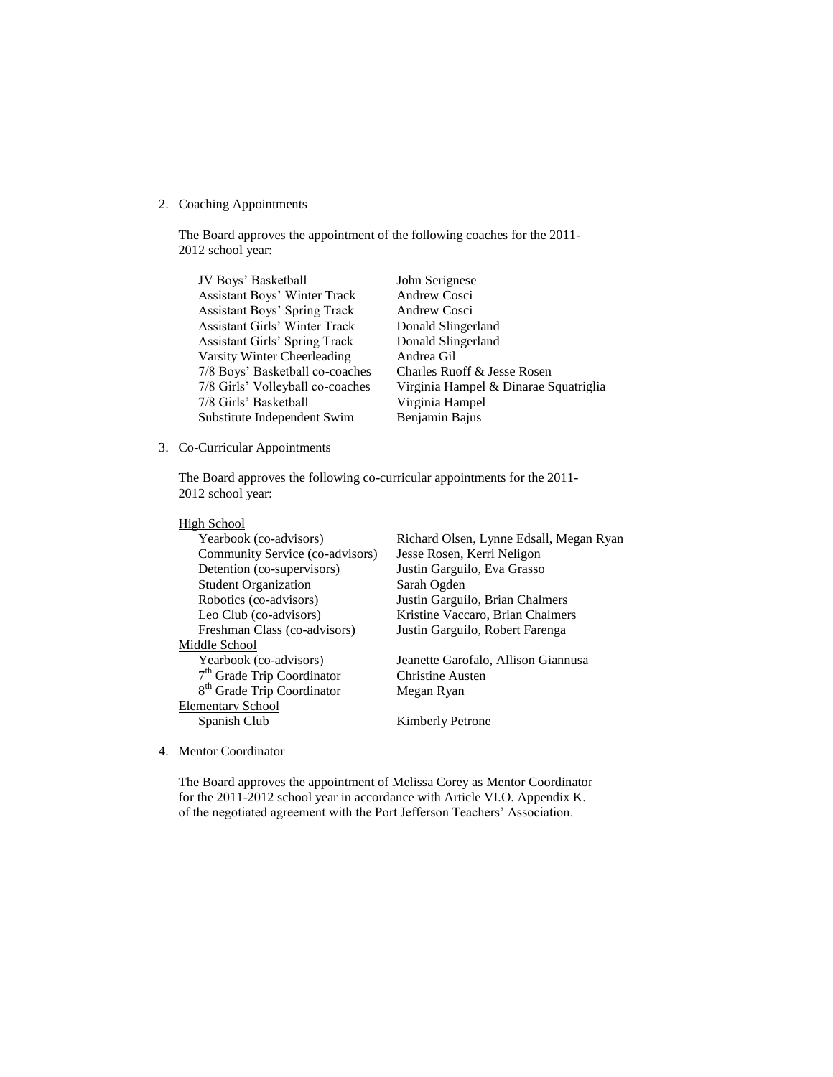## 2. Coaching Appointments

The Board approves the appointment of the following coaches for the 2011- 2012 school year:

| JV Boys' Basketball                  | John Serignese                        |
|--------------------------------------|---------------------------------------|
| <b>Assistant Boys' Winter Track</b>  | Andrew Cosci                          |
| <b>Assistant Boys' Spring Track</b>  | Andrew Cosci                          |
| <b>Assistant Girls' Winter Track</b> | Donald Slingerland                    |
| Assistant Girls' Spring Track        | Donald Slingerland                    |
| Varsity Winter Cheerleading          | Andrea Gil                            |
| 7/8 Boys' Basketball co-coaches      | Charles Ruoff & Jesse Rosen           |
| 7/8 Girls' Volleyball co-coaches     | Virginia Hampel & Dinarae Squatriglia |
| 7/8 Girls' Basketball                | Virginia Hampel                       |
| Substitute Independent Swim          | Benjamin Bajus                        |

## 3. Co-Curricular Appointments

The Board approves the following co-curricular appointments for the 2011- 2012 school year:

# High School

| Yearbook (co-advisors)                 | Richard Olsen, Lynne Edsall, Megan Ryan |
|----------------------------------------|-----------------------------------------|
| Community Service (co-advisors)        | Jesse Rosen, Kerri Neligon              |
| Detention (co-supervisors)             | Justin Garguilo, Eva Grasso             |
| <b>Student Organization</b>            | Sarah Ogden                             |
| Robotics (co-advisors)                 | Justin Garguilo, Brian Chalmers         |
| Leo Club (co-advisors)                 | Kristine Vaccaro, Brian Chalmers        |
| Freshman Class (co-advisors)           | Justin Garguilo, Robert Farenga         |
| Middle School                          |                                         |
| Yearbook (co-advisors)                 | Jeanette Garofalo, Allison Giannusa     |
| $7th$ Grade Trip Coordinator           | <b>Christine Austen</b>                 |
| 8 <sup>th</sup> Grade Trip Coordinator | Megan Ryan                              |
| <b>Elementary School</b>               |                                         |
| Spanish Club                           | <b>Kimberly Petrone</b>                 |
|                                        |                                         |

4. Mentor Coordinator

The Board approves the appointment of Melissa Corey as Mentor Coordinator for the 2011-2012 school year in accordance with Article VI.O. Appendix K. of the negotiated agreement with the Port Jefferson Teachers' Association.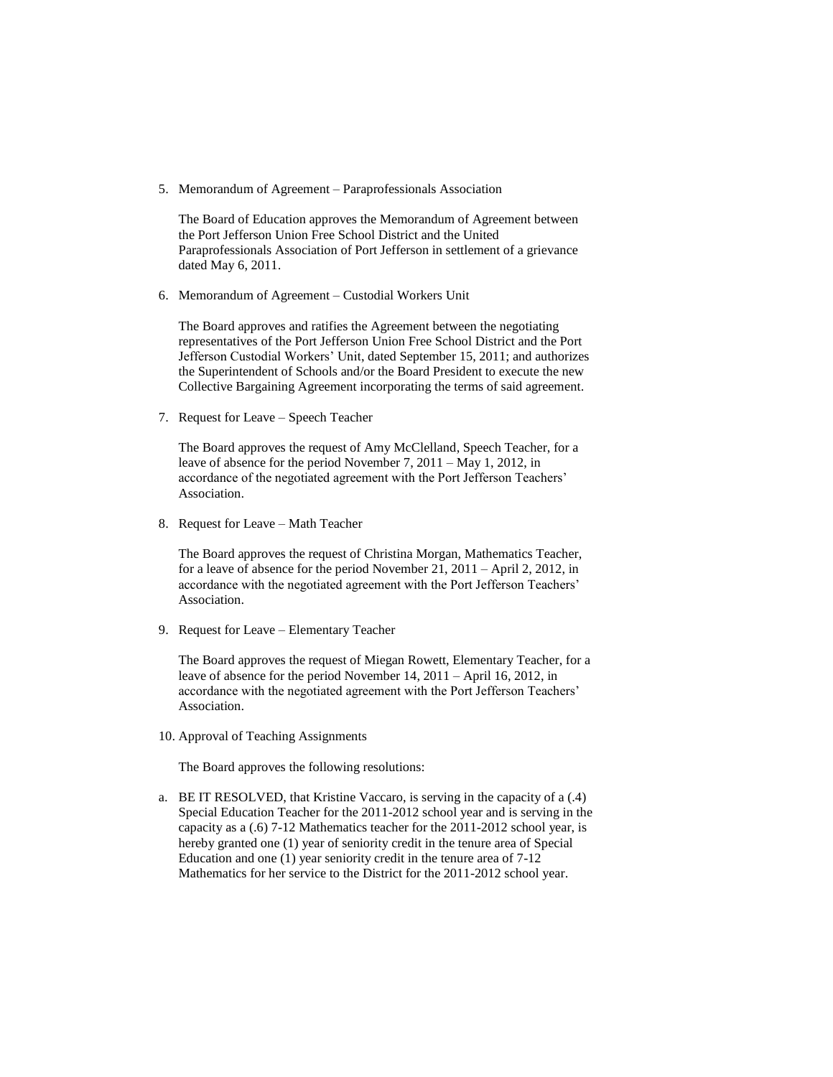5. Memorandum of Agreement – Paraprofessionals Association

The Board of Education approves the Memorandum of Agreement between the Port Jefferson Union Free School District and the United Paraprofessionals Association of Port Jefferson in settlement of a grievance dated May 6, 2011.

6. Memorandum of Agreement – Custodial Workers Unit

The Board approves and ratifies the Agreement between the negotiating representatives of the Port Jefferson Union Free School District and the Port Jefferson Custodial Workers' Unit, dated September 15, 2011; and authorizes the Superintendent of Schools and/or the Board President to execute the new Collective Bargaining Agreement incorporating the terms of said agreement.

7. Request for Leave – Speech Teacher

The Board approves the request of Amy McClelland, Speech Teacher, for a leave of absence for the period November 7, 2011 – May 1, 2012, in accordance of the negotiated agreement with the Port Jefferson Teachers' Association.

8. Request for Leave – Math Teacher

The Board approves the request of Christina Morgan, Mathematics Teacher, for a leave of absence for the period November 21, 2011 – April 2, 2012, in accordance with the negotiated agreement with the Port Jefferson Teachers' Association.

9. Request for Leave – Elementary Teacher

The Board approves the request of Miegan Rowett, Elementary Teacher, for a leave of absence for the period November 14, 2011 – April 16, 2012, in accordance with the negotiated agreement with the Port Jefferson Teachers' Association.

10. Approval of Teaching Assignments

The Board approves the following resolutions:

a. BE IT RESOLVED, that Kristine Vaccaro, is serving in the capacity of a (.4) Special Education Teacher for the 2011-2012 school year and is serving in the capacity as a (.6) 7-12 Mathematics teacher for the 2011-2012 school year, is hereby granted one (1) year of seniority credit in the tenure area of Special Education and one (1) year seniority credit in the tenure area of 7-12 Mathematics for her service to the District for the 2011-2012 school year.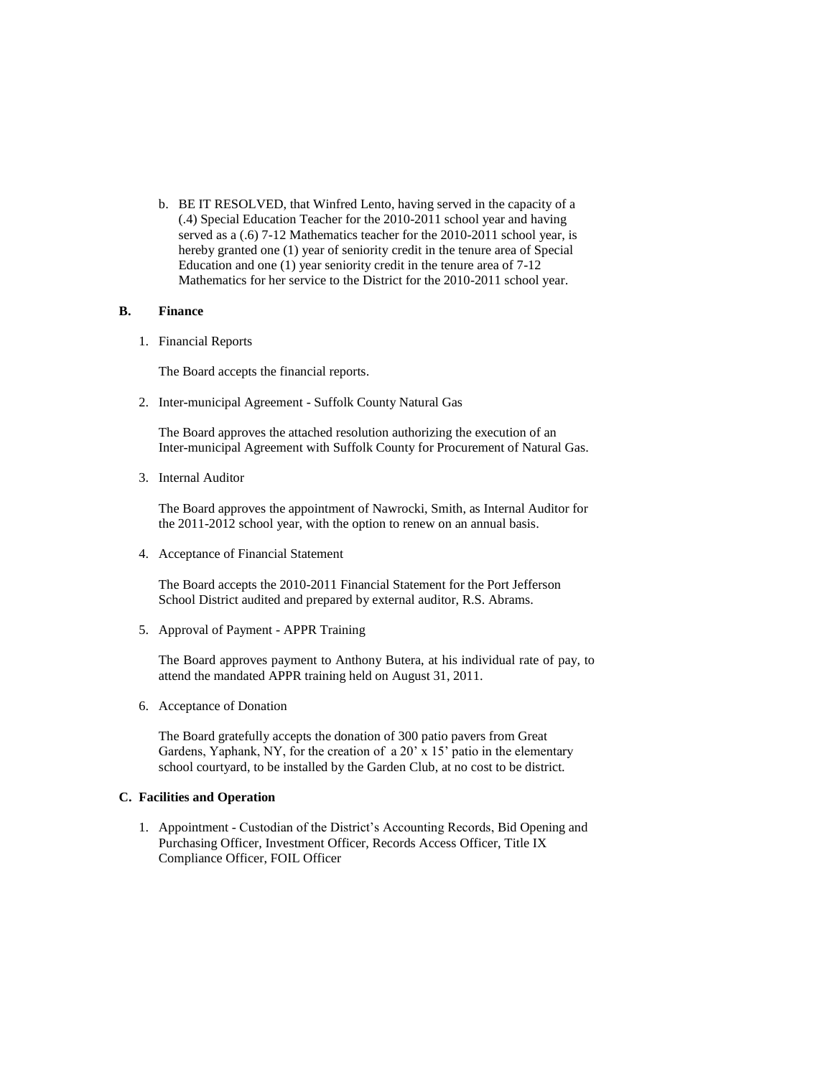b. BE IT RESOLVED, that Winfred Lento, having served in the capacity of a (.4) Special Education Teacher for the 2010-2011 school year and having served as a (.6) 7-12 Mathematics teacher for the 2010-2011 school year, is hereby granted one (1) year of seniority credit in the tenure area of Special Education and one (1) year seniority credit in the tenure area of 7-12 Mathematics for her service to the District for the 2010-2011 school year.

## **B. Finance**

1. Financial Reports

The Board accepts the financial reports.

2. Inter-municipal Agreement - Suffolk County Natural Gas

The Board approves the attached resolution authorizing the execution of an Inter-municipal Agreement with Suffolk County for Procurement of Natural Gas.

3. Internal Auditor

The Board approves the appointment of Nawrocki, Smith, as Internal Auditor for the 2011-2012 school year, with the option to renew on an annual basis.

4. Acceptance of Financial Statement

The Board accepts the 2010-2011 Financial Statement for the Port Jefferson School District audited and prepared by external auditor, R.S. Abrams.

5. Approval of Payment - APPR Training

The Board approves payment to Anthony Butera, at his individual rate of pay, to attend the mandated APPR training held on August 31, 2011.

6. Acceptance of Donation

The Board gratefully accepts the donation of 300 patio pavers from Great Gardens, Yaphank, NY, for the creation of a 20' x 15' patio in the elementary school courtyard, to be installed by the Garden Club, at no cost to be district.

## **C. Facilities and Operation**

1. Appointment - Custodian of the District's Accounting Records, Bid Opening and Purchasing Officer, Investment Officer, Records Access Officer, Title IX Compliance Officer, FOIL Officer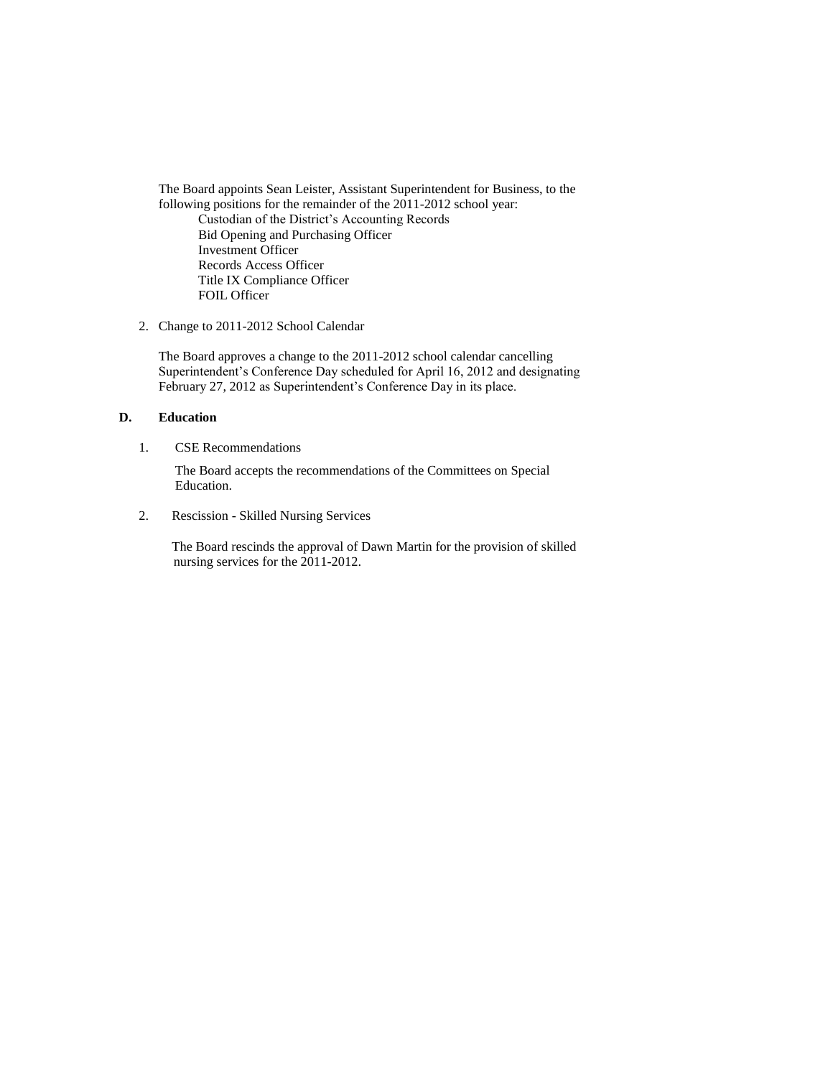The Board appoints Sean Leister, Assistant Superintendent for Business, to the following positions for the remainder of the 2011-2012 school year: Custodian of the District's Accounting Records Bid Opening and Purchasing Officer Investment Officer Records Access Officer Title IX Compliance Officer FOIL Officer

2. Change to 2011-2012 School Calendar

The Board approves a change to the 2011-2012 school calendar cancelling Superintendent's Conference Day scheduled for April 16, 2012 and designating February 27, 2012 as Superintendent's Conference Day in its place.

## **D. Education**

1. CSE Recommendations

The Board accepts the recommendations of the Committees on Special Education.

2. Rescission - Skilled Nursing Services

 The Board rescinds the approval of Dawn Martin for the provision of skilled nursing services for the 2011-2012.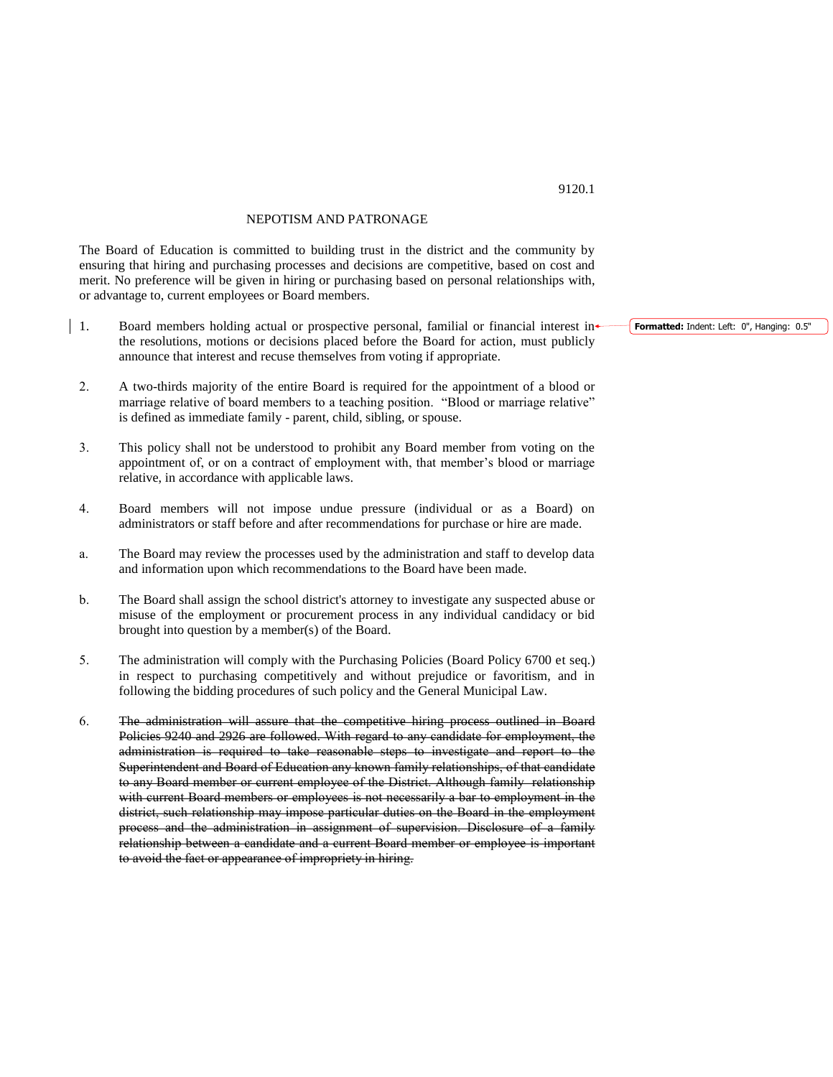## NEPOTISM AND PATRONAGE

The Board of Education is committed to building trust in the district and the community by ensuring that hiring and purchasing processes and decisions are competitive, based on cost and merit. No preference will be given in hiring or purchasing based on personal relationships with, or advantage to, current employees or Board members.

- 1. Board members holding actual or prospective personal, familial or financial interest in the resolutions, motions or decisions placed before the Board for action, must publicly announce that interest and recuse themselves from voting if appropriate.
- 2. A two-thirds majority of the entire Board is required for the appointment of a blood or marriage relative of board members to a teaching position. "Blood or marriage relative" is defined as immediate family - parent, child, sibling, or spouse.
- 3. This policy shall not be understood to prohibit any Board member from voting on the appointment of, or on a contract of employment with, that member's blood or marriage relative, in accordance with applicable laws.
- 4. Board members will not impose undue pressure (individual or as a Board) on administrators or staff before and after recommendations for purchase or hire are made.
- a. The Board may review the processes used by the administration and staff to develop data and information upon which recommendations to the Board have been made.
- b. The Board shall assign the school district's attorney to investigate any suspected abuse or misuse of the employment or procurement process in any individual candidacy or bid brought into question by a member(s) of the Board.
- 5. The administration will comply with the Purchasing Policies (Board Policy 6700 et seq.) in respect to purchasing competitively and without prejudice or favoritism, and in following the bidding procedures of such policy and the General Municipal Law.
- 6. The administration will assure that the competitive hiring process outlined in Board Policies 9240 and 2926 are followed. With regard to any candidate for employment, the administration is required to take reasonable steps to investigate and report to the Superintendent and Board of Education any known family relationships, of that candidate to any Board member or current employee of the District. Although family relationship with current Board members or employees is not necessarily a bar to employment in the district, such relationship may impose particular duties on the Board in the employment process and the administration in assignment of supervision. Disclosure of a family relationship between a candidate and a current Board member or employee is important to avoid the fact or appearance of impropriety in hiring.

**Formatted:** Indent: Left: 0", Hanging: 0.5"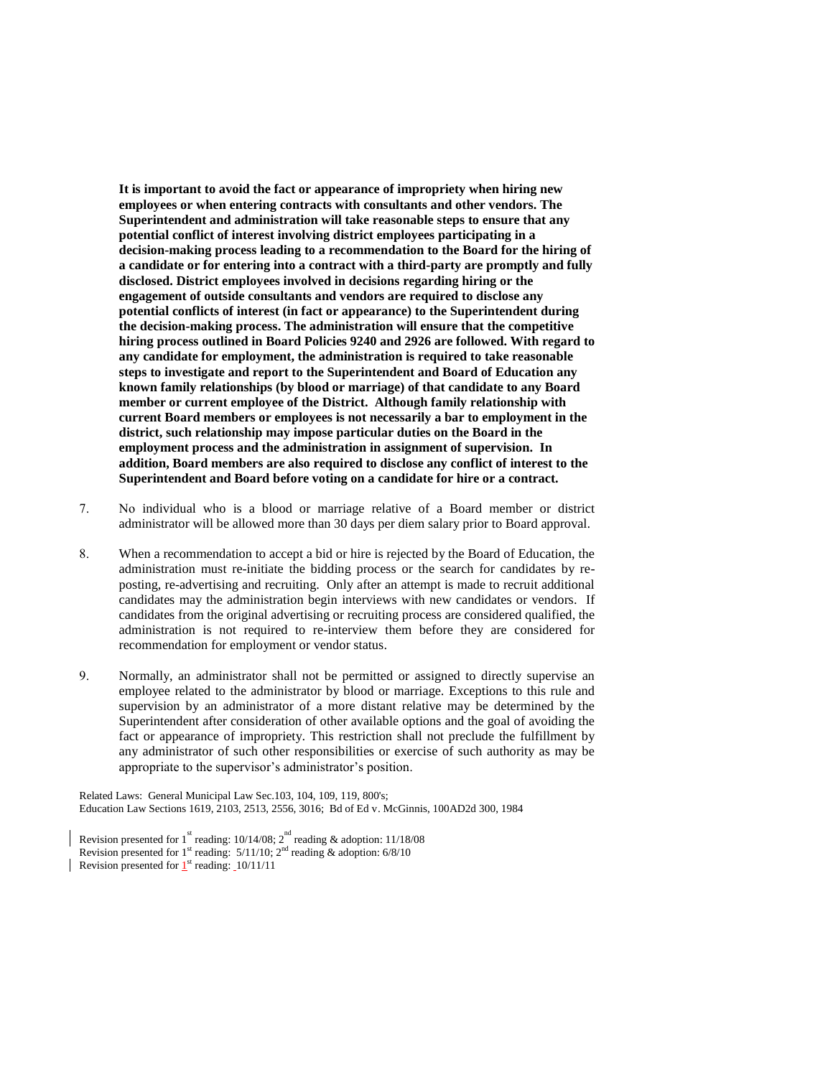**It is important to avoid the fact or appearance of impropriety when hiring new employees or when entering contracts with consultants and other vendors. The Superintendent and administration will take reasonable steps to ensure that any potential conflict of interest involving district employees participating in a decision-making process leading to a recommendation to the Board for the hiring of a candidate or for entering into a contract with a third-party are promptly and fully disclosed. District employees involved in decisions regarding hiring or the engagement of outside consultants and vendors are required to disclose any potential conflicts of interest (in fact or appearance) to the Superintendent during the decision-making process. The administration will ensure that the competitive hiring process outlined in Board Policies 9240 and 2926 are followed. With regard to any candidate for employment, the administration is required to take reasonable steps to investigate and report to the Superintendent and Board of Education any known family relationships (by blood or marriage) of that candidate to any Board member or current employee of the District. Although family relationship with current Board members or employees is not necessarily a bar to employment in the district, such relationship may impose particular duties on the Board in the employment process and the administration in assignment of supervision. In addition, Board members are also required to disclose any conflict of interest to the Superintendent and Board before voting on a candidate for hire or a contract.** 

- 7. No individual who is a blood or marriage relative of a Board member or district administrator will be allowed more than 30 days per diem salary prior to Board approval.
- 8. When a recommendation to accept a bid or hire is rejected by the Board of Education, the administration must re-initiate the bidding process or the search for candidates by reposting, re-advertising and recruiting. Only after an attempt is made to recruit additional candidates may the administration begin interviews with new candidates or vendors. If candidates from the original advertising or recruiting process are considered qualified, the administration is not required to re-interview them before they are considered for recommendation for employment or vendor status.
- 9. Normally, an administrator shall not be permitted or assigned to directly supervise an employee related to the administrator by blood or marriage. Exceptions to this rule and supervision by an administrator of a more distant relative may be determined by the Superintendent after consideration of other available options and the goal of avoiding the fact or appearance of impropriety. This restriction shall not preclude the fulfillment by any administrator of such other responsibilities or exercise of such authority as may be appropriate to the supervisor's administrator's position.

Related Laws: General Municipal Law Sec.103, 104, 109, 119, 800's; Education Law Sections 1619, 2103, 2513, 2556, 3016; Bd of Ed v. McGinnis, 100AD2d 300, 1984

Revision presented for 1<sup>st</sup> reading: 10/14/08; 2<sup>nd</sup> reading & adoption: 11/18/08 Revision presented for  $1<sup>st</sup>$  reading:  $5/11/10$ ;  $2<sup>nd</sup>$  reading & adoption:  $6/8/10$ Revision presented for  $1<sup>st</sup>$  reading:  $10/11/11$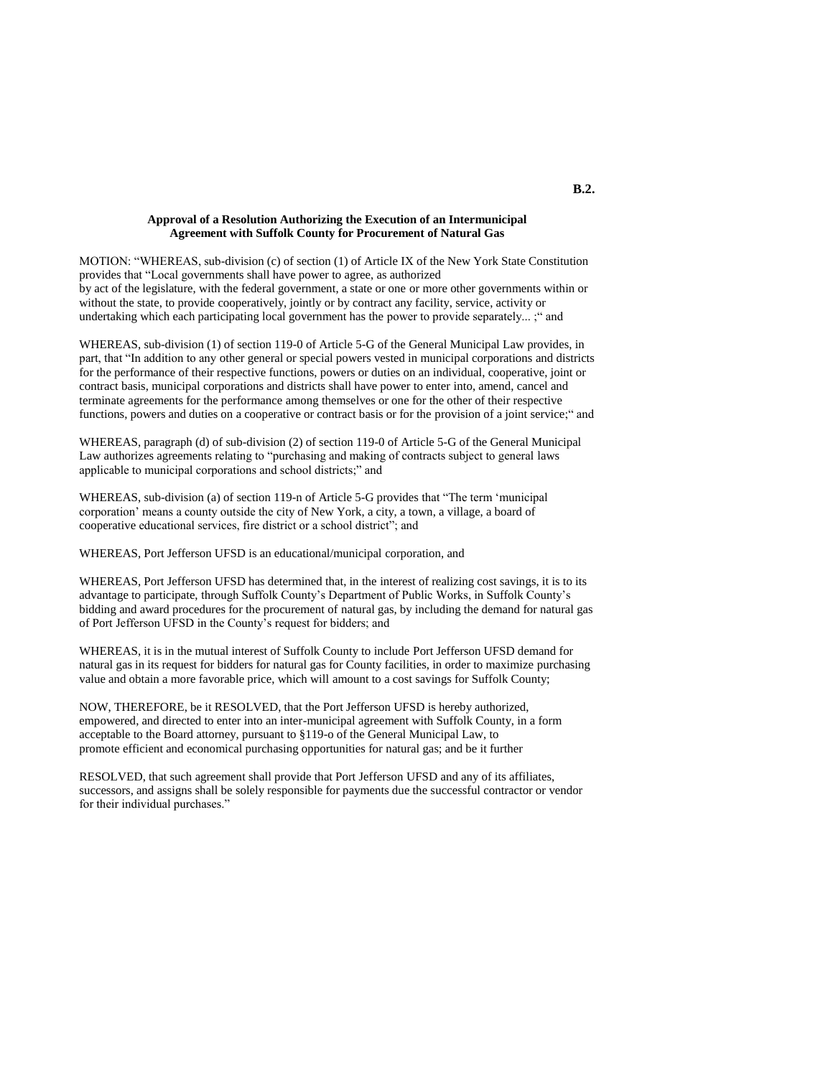#### **Approval of a Resolution Authorizing the Execution of an Intermunicipal Agreement with Suffolk County for Procurement of Natural Gas**

MOTION: "WHEREAS, sub-division (c) of section (1) of Article IX of the New York State Constitution provides that "Local governments shall have power to agree, as authorized by act of the legislature, with the federal government, a state or one or more other governments within or without the state, to provide cooperatively, jointly or by contract any facility, service, activity or undertaking which each participating local government has the power to provide separately... ;" and

WHEREAS, sub-division (1) of section 119-0 of Article 5-G of the General Municipal Law provides, in part, that "In addition to any other general or special powers vested in municipal corporations and districts for the performance of their respective functions, powers or duties on an individual, cooperative, joint or contract basis, municipal corporations and districts shall have power to enter into, amend, cancel and terminate agreements for the performance among themselves or one for the other of their respective functions, powers and duties on a cooperative or contract basis or for the provision of a joint service;" and

WHEREAS, paragraph (d) of sub-division (2) of section 119-0 of Article 5-G of the General Municipal Law authorizes agreements relating to "purchasing and making of contracts subject to general laws applicable to municipal corporations and school districts;" and

WHEREAS, sub-division (a) of section 119-n of Article 5-G provides that "The term 'municipal corporation' means a county outside the city of New York, a city, a town, a village, a board of cooperative educational services, fire district or a school district"; and

WHEREAS, Port Jefferson UFSD is an educational/municipal corporation, and

WHEREAS, Port Jefferson UFSD has determined that, in the interest of realizing cost savings, it is to its advantage to participate, through Suffolk County's Department of Public Works, in Suffolk County's bidding and award procedures for the procurement of natural gas, by including the demand for natural gas of Port Jefferson UFSD in the County's request for bidders; and

WHEREAS, it is in the mutual interest of Suffolk County to include Port Jefferson UFSD demand for natural gas in its request for bidders for natural gas for County facilities, in order to maximize purchasing value and obtain a more favorable price, which will amount to a cost savings for Suffolk County;

NOW, THEREFORE, be it RESOLVED, that the Port Jefferson UFSD is hereby authorized, empowered, and directed to enter into an inter-municipal agreement with Suffolk County, in a form acceptable to the Board attorney, pursuant to §119-o of the General Municipal Law, to promote efficient and economical purchasing opportunities for natural gas; and be it further

RESOLVED, that such agreement shall provide that Port Jefferson UFSD and any of its affiliates, successors, and assigns shall be solely responsible for payments due the successful contractor or vendor for their individual purchases."

## **B.2.**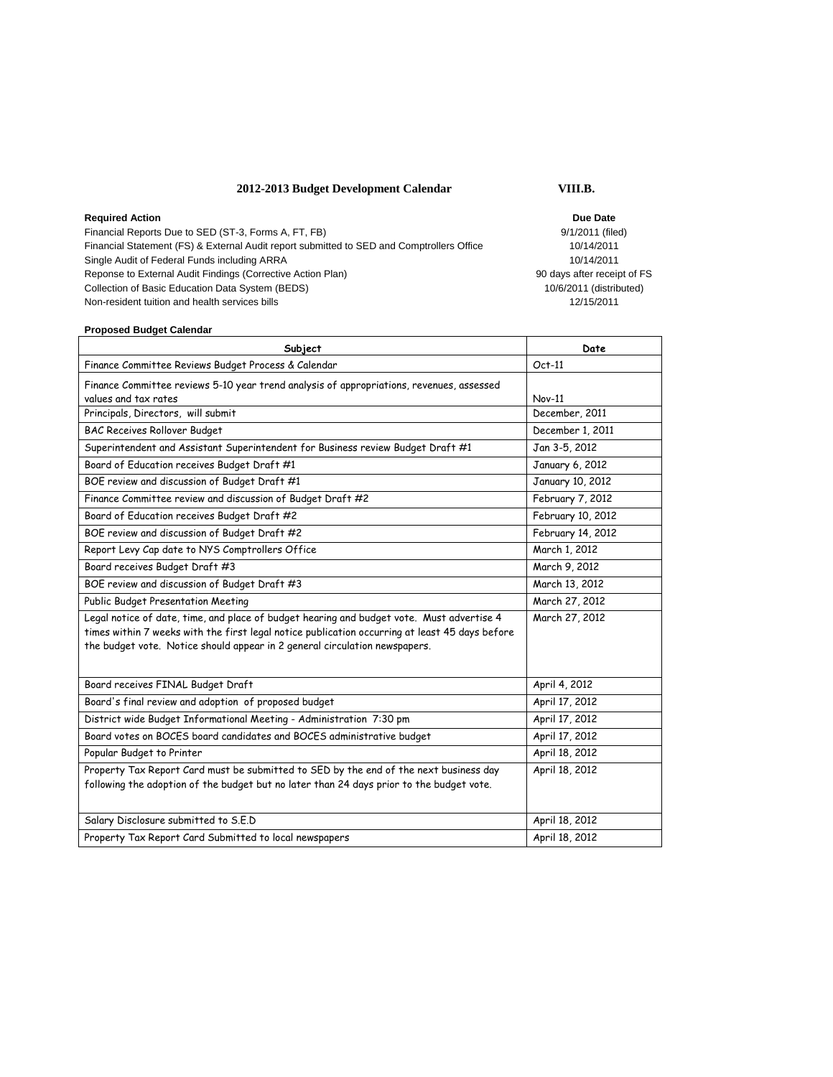# **2012-2013 Budget Development Calendar VIII.B.**

| <b>Required Action</b>                                                                    | Due Date            |
|-------------------------------------------------------------------------------------------|---------------------|
| Financial Reports Due to SED (ST-3, Forms A, FT, FB)                                      | 9/1/2011 (file      |
| Financial Statement (FS) & External Audit report submitted to SED and Comptrollers Office | 10/14/2011          |
| Single Audit of Federal Funds including ARRA                                              | 10/14/2011          |
| Reponse to External Audit Findings (Corrective Action Plan)                               | 90 days after recei |
| Collection of Basic Education Data System (BEDS)                                          | 10/6/2011 (distrit  |
| Non-resident tuition and health services bills                                            | 12/15/2011          |

9/1/2011 (filed) Financial Statement (FS) & External Audit report submitted to SED and Comptrollers Office 10/14/2011 10/14/2011 90 days after receipt of FS 10/6/2011 (distributed)

## **Proposed Budget Calendar**

| Subject                                                                                                                                                                                     | Date              |
|---------------------------------------------------------------------------------------------------------------------------------------------------------------------------------------------|-------------------|
| Finance Committee Reviews Budget Process & Calendar                                                                                                                                         | $Oct-11$          |
| Finance Committee reviews 5-10 year trend analysis of appropriations, revenues, assessed                                                                                                    |                   |
| values and tax rates                                                                                                                                                                        | $Nov-11$          |
| Principals, Directors, will submit                                                                                                                                                          | December, 2011    |
| <b>BAC Receives Rollover Budget</b>                                                                                                                                                         | December 1, 2011  |
| Superintendent and Assistant Superintendent for Business review Budget Draft #1                                                                                                             | Jan 3-5, 2012     |
| Board of Education receives Budget Draft #1                                                                                                                                                 | January 6, 2012   |
| BOE review and discussion of Budget Draft #1                                                                                                                                                | January 10, 2012  |
| Finance Committee review and discussion of Budget Draft #2                                                                                                                                  | February 7, 2012  |
| Board of Education receives Budget Draft #2                                                                                                                                                 | February 10, 2012 |
| BOE review and discussion of Budget Draft #2                                                                                                                                                | February 14, 2012 |
| Report Levy Cap date to NYS Comptrollers Office                                                                                                                                             | March 1, 2012     |
| Board receives Budget Draft #3                                                                                                                                                              | March 9, 2012     |
| BOE review and discussion of Budget Draft #3                                                                                                                                                | March 13, 2012    |
| Public Budget Presentation Meeting                                                                                                                                                          | March 27, 2012    |
| Legal notice of date, time, and place of budget hearing and budget vote. Must advertise 4<br>times within 7 weeks with the first legal notice publication occurring at least 45 days before | March 27, 2012    |
| the budget vote. Notice should appear in 2 general circulation newspapers.                                                                                                                  |                   |
|                                                                                                                                                                                             |                   |
| Board receives FINAL Budget Draft                                                                                                                                                           | April 4, 2012     |
| Board's final review and adoption of proposed budget                                                                                                                                        | April 17, 2012    |
| District wide Budget Informational Meeting - Administration 7:30 pm                                                                                                                         | April 17, 2012    |
| Board votes on BOCES board candidates and BOCES administrative budget                                                                                                                       | April 17, 2012    |
| Popular Budget to Printer                                                                                                                                                                   | April 18, 2012    |
| Property Tax Report Card must be submitted to SED by the end of the next business day                                                                                                       | April 18, 2012    |
| following the adoption of the budget but no later than 24 days prior to the budget vote.                                                                                                    |                   |
|                                                                                                                                                                                             |                   |
| Salary Disclosure submitted to S.E.D                                                                                                                                                        | April 18, 2012    |
| Property Tax Report Card Submitted to local newspapers                                                                                                                                      | April 18, 2012    |